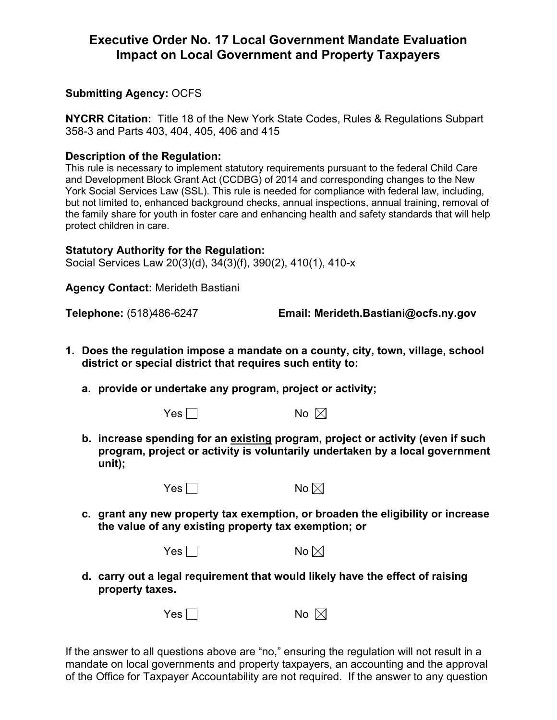## **Executive Order No. 17 Local Government Mandate Evaluation Impact on Local Government and Property Taxpayers**

## **Submitting Agency:** OCFS

**NYCRR Citation:** Title 18 of the New York State Codes, Rules & Regulations Subpart 358-3 and Parts 403, 404, 405, 406 and 415

## **Description of the Regulation:**

This rule is necessary to implement statutory requirements pursuant to the federal Child Care and Development Block Grant Act (CCDBG) of 2014 and corresponding changes to the New York Social Services Law (SSL). This rule is needed for compliance with federal law, including, but not limited to, enhanced background checks, annual inspections, annual training, removal of the family share for youth in foster care and enhancing health and safety standards that will help protect children in care.

## **Statutory Authority for the Regulation:**

Social Services Law 20(3)(d), 34(3)(f), 390(2), 410(1), 410-x

**Agency Contact:** Merideth Bastiani

**Telephone:** (518)486-6247 **Email: Merideth.Bastiani@ocfs.ny.gov**

- **1. Does the regulation impose a mandate on a county, city, town, village, school district or special district that requires such entity to:**
	- **a. provide or undertake any program, project or activity;** 
		-

 $Yes \Box$ 

**b. increase spending for an existing program, project or activity (even if such program, project or activity is voluntarily undertaken by a local government unit);**



 $Yes \Box$ 

**c. grant any new property tax exemption, or broaden the eligibility or increase the value of any existing property tax exemption; or**

| Yes $\Gamma$ | No |
|--------------|----|
|--------------|----|

- 
- **d. carry out a legal requirement that would likely have the effect of raising property taxes.**

| Yes $\Box$ | No $\boxtimes$ |
|------------|----------------|
|------------|----------------|

If the answer to all questions above are "no," ensuring the regulation will not result in a mandate on local governments and property taxpayers, an accounting and the approval of the Office for Taxpayer Accountability are not required. If the answer to any question